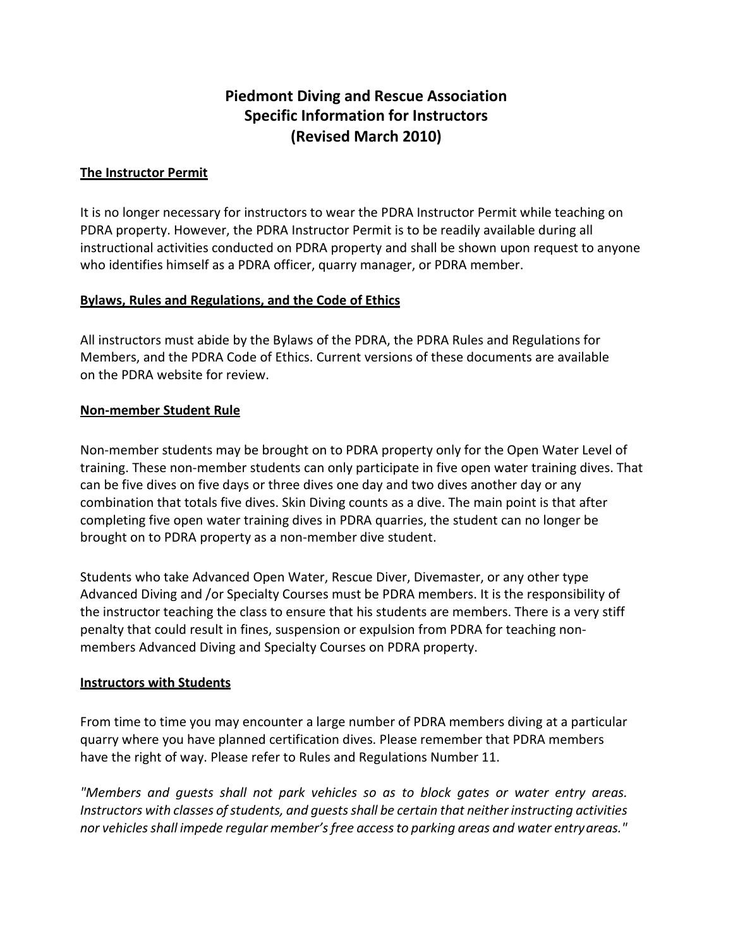### **Piedmont Diving and Rescue Association Specific Information for Instructors (Revised March 2010)**

#### **The Instructor Permit**

It is no longer necessary for instructors to wear the PDRA Instructor Permit while teaching on PDRA property. However, the PDRA Instructor Permit is to be readily available during all instructional activities conducted on PDRA property and shall be shown upon request to anyone who identifies himself as a PDRA officer, quarry manager, or PDRA member.

#### **Bylaws, Rules and Regulations, and the Code of Ethics**

All instructors must abide by the Bylaws of the PDRA, the PDRA Rules and Regulations for Members, and the PDRA Code of Ethics. Current versions of these documents are available on the PDRA website for review.

#### **Non-member Student Rule**

Non-member students may be brought on to PDRA property only for the Open Water Level of training. These non-member students can only participate in five open water training dives. That can be five dives on five days or three dives one day and two dives another day or any combination that totals five dives. Skin Diving counts as a dive. The main point is that after completing five open water training dives in PDRA quarries, the student can no longer be brought on to PDRA property as a non-member dive student.

Students who take Advanced Open Water, Rescue Diver, Divemaster, or any other type Advanced Diving and /or Specialty Courses must be PDRA members. It is the responsibility of the instructor teaching the class to ensure that his students are members. There is a very stiff penalty that could result in fines, suspension or expulsion from PDRA for teaching nonmembers Advanced Diving and Specialty Courses on PDRA property.

#### **Instructors with Students**

From time to time you may encounter a large number of PDRA members diving at a particular quarry where you have planned certification dives. Please remember that PDRA members have the right of way. Please refer to Rules and Regulations Number 11.

*"Members and guests shall not park vehicles so as to block gates or water entry areas. Instructors with classes of students, and guests shall be certain that neither instructing activities nor vehicles shall impede regular member's free access to parking areas and water entry areas."*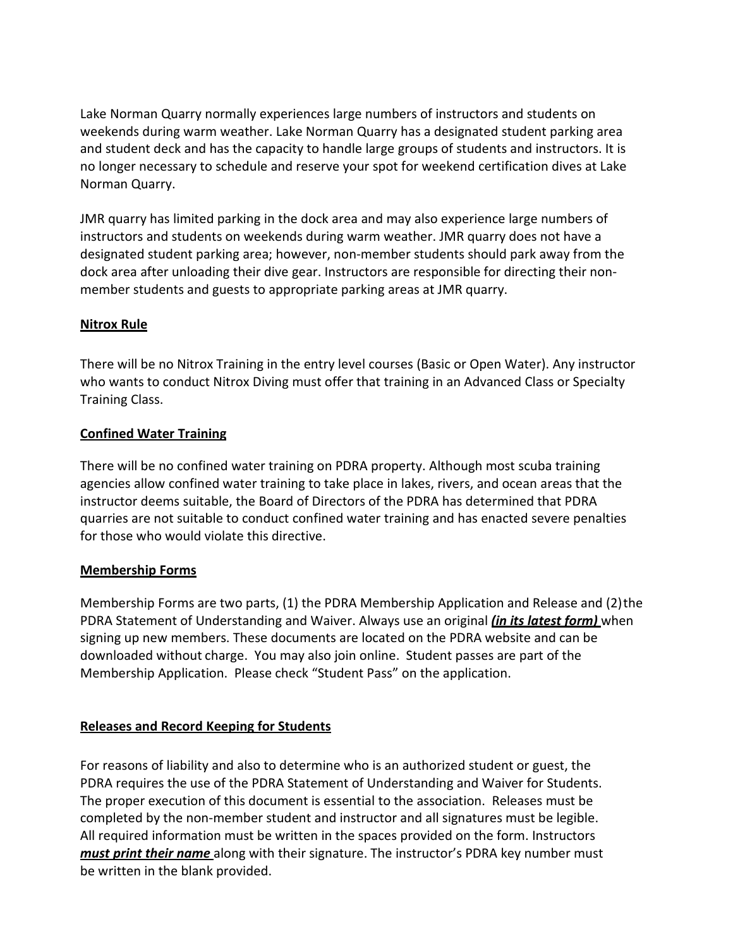Lake Norman Quarry normally experiences large numbers of instructors and students on weekends during warm weather. Lake Norman Quarry has a designated student parking area and student deck and has the capacity to handle large groups of students and instructors. It is no longer necessary to schedule and reserve your spot for weekend certification dives at Lake Norman Quarry.

JMR quarry has limited parking in the dock area and may also experience large numbers of instructors and students on weekends during warm weather. JMR quarry does not have a designated student parking area; however, non-member students should park away from the dock area after unloading their dive gear. Instructors are responsible for directing their nonmember students and guests to appropriate parking areas at JMR quarry.

#### **Nitrox Rule**

There will be no Nitrox Training in the entry level courses (Basic or Open Water). Any instructor who wants to conduct Nitrox Diving must offer that training in an Advanced Class or Specialty Training Class.

#### **Confined Water Training**

There will be no confined water training on PDRA property. Although most scuba training agencies allow confined water training to take place in lakes, rivers, and ocean areas that the instructor deems suitable, the Board of Directors of the PDRA has determined that PDRA quarries are not suitable to conduct confined water training and has enacted severe penalties for those who would violate this directive.

#### **Membership Forms**

Membership Forms are two parts, (1) the PDRA Membership Application and Release and (2) the PDRA Statement of Understanding and Waiver. Always use an original *(in its latest form)* when signing up new members. These documents are located on the PDRA website and can be downloaded without charge. You may also join online. Student passes are part of the Membership Application. Please check "Student Pass" on the application.

#### **Releases and Record Keeping for Students**

For reasons of liability and also to determine who is an authorized student or guest, the PDRA requires the use of the PDRA Statement of Understanding and Waiver for Students. The proper execution of this document is essential to the association. Releases must be completed by the non-member student and instructor and all signatures must be legible. All required information must be written in the spaces provided on the form. Instructors *must print their name* along with their signature. The instructor's PDRA key number must be written in the blank provided.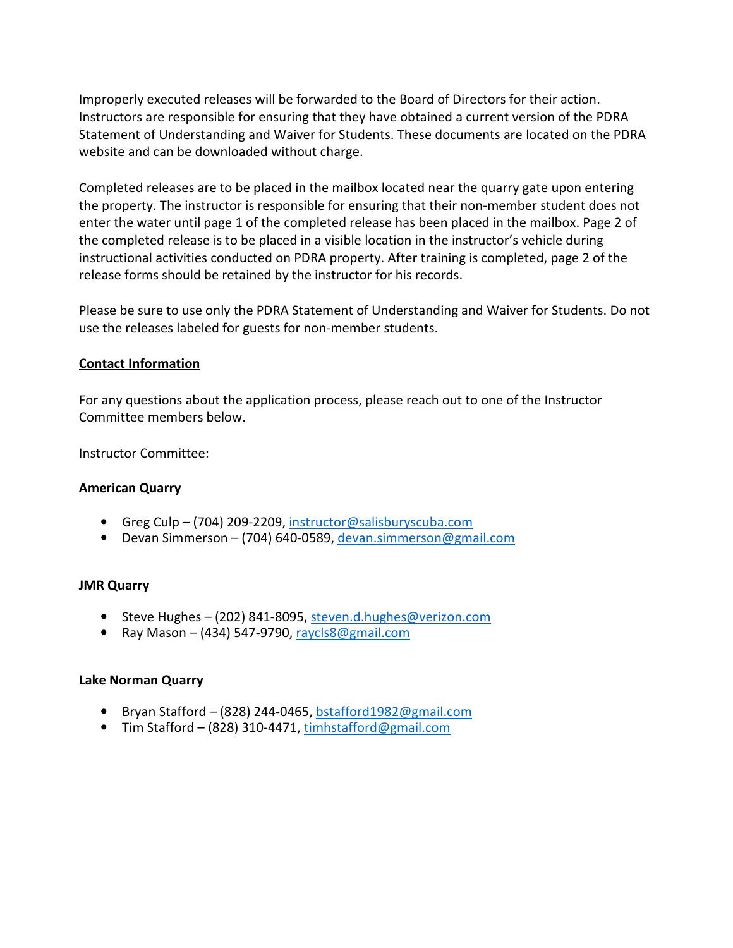Improperly executed releases will be forwarded to the Board of Directors for their action. Instructors are responsible for ensuring that they have obtained a current version of the PDRA Statement of Understanding and Waiver for Students. These documents are located on the PDRA website and can be downloaded without charge.

Completed releases are to be placed in the mailbox located near the quarry gate upon entering the property. The instructor is responsible for ensuring that their non-member student does not enter the water until page 1 of the completed release has been placed in the mailbox. Page 2 of the completed release is to be placed in a visible location in the instructor's vehicle during instructional activities conducted on PDRA property. After training is completed, page 2 of the release forms should be retained by the instructor for his records.

Please be sure to use only the PDRA Statement of Understanding and Waiver for Students. Do not use the releases labeled for guests for non-member students.

#### **Contact Information**

For any questions about the application process, please reach out to one of the Instructor Committee members below.

Instructor Committee:

#### **American Quarry**

- Greg Culp (704) 209-2209, instructor@salisburyscuba.com
- Devan Simmerson (704) 640-0589, devan.simmerson@gmail.com

#### **JMR Quarry**

- Steve Hughes (202) 841-8095, steven.d.hughes@verizon.com
- Ray Mason (434) 547-9790, raycls8@gmail.com

#### **Lake Norman Quarry**

- Bryan Stafford (828) 244-0465, bstafford1982@gmail.com
- Tim Stafford (828) 310-4471, timhstafford@gmail.com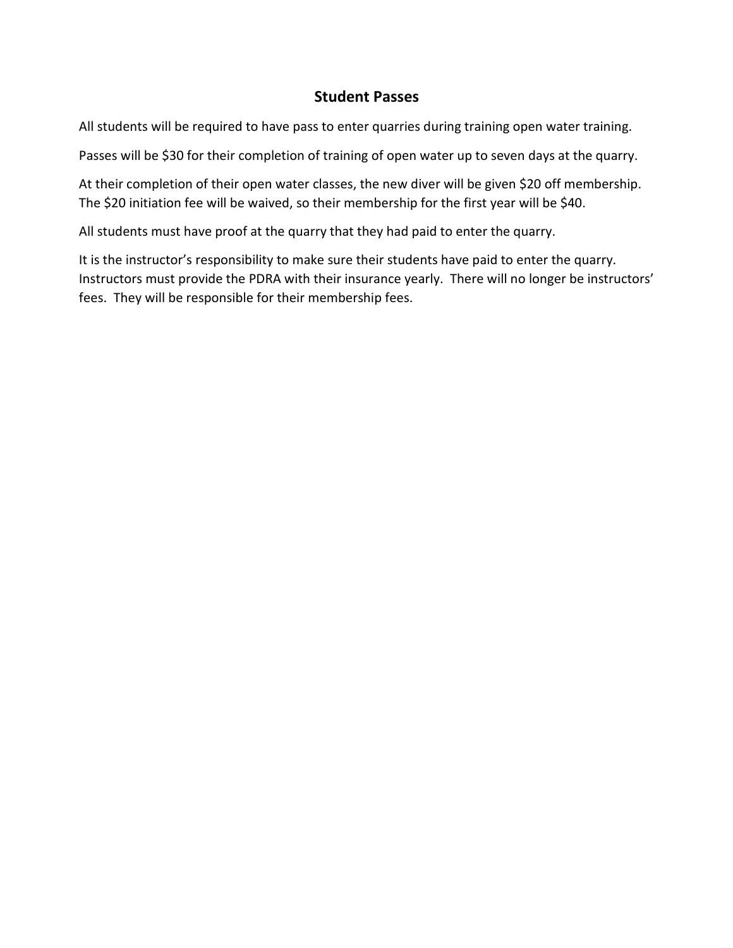#### **Student Passes**

All students will be required to have pass to enter quarries during training open water training.

Passes will be \$30 for their completion of training of open water up to seven days at the quarry.

At their completion of their open water classes, the new diver will be given \$20 off membership. The \$20 initiation fee will be waived, so their membership for the first year will be \$40.

All students must have proof at the quarry that they had paid to enter the quarry.

It is the instructor's responsibility to make sure their students have paid to enter the quarry. Instructors must provide the PDRA with their insurance yearly. There will no longer be instructors' fees. They will be responsible for their membership fees.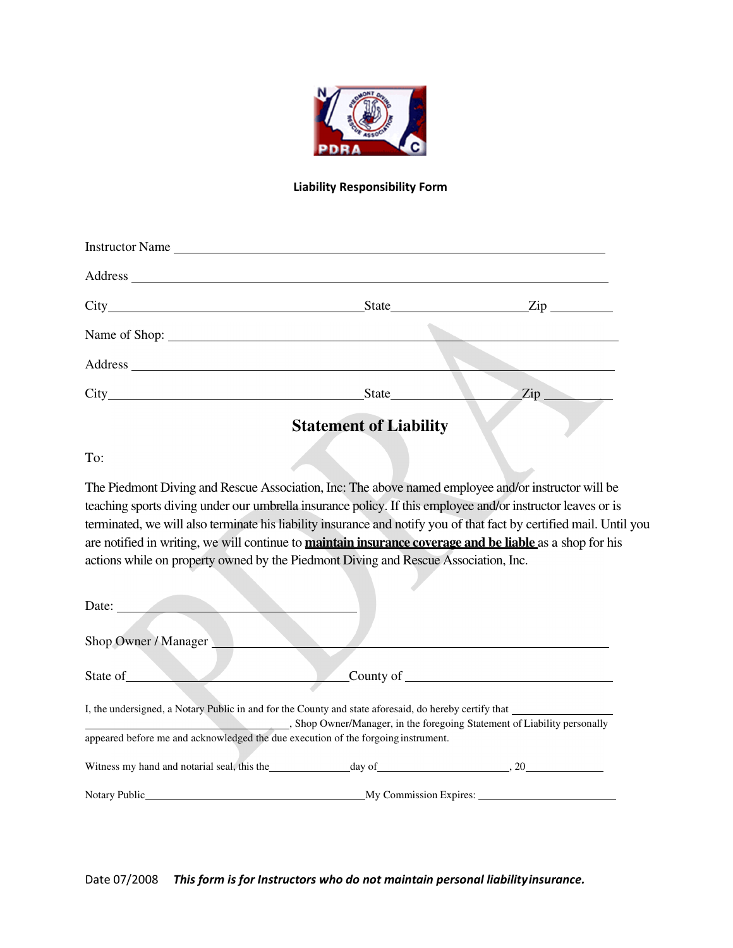

#### **Liability Responsibility Form**

| Instructor Name |                                                                                                                                                                                                                                                                                                                                                                                                                        |                                |  |  |
|-----------------|------------------------------------------------------------------------------------------------------------------------------------------------------------------------------------------------------------------------------------------------------------------------------------------------------------------------------------------------------------------------------------------------------------------------|--------------------------------|--|--|
|                 |                                                                                                                                                                                                                                                                                                                                                                                                                        |                                |  |  |
|                 |                                                                                                                                                                                                                                                                                                                                                                                                                        | State <u>Zip</u>               |  |  |
| Name of Shop:   |                                                                                                                                                                                                                                                                                                                                                                                                                        |                                |  |  |
|                 |                                                                                                                                                                                                                                                                                                                                                                                                                        |                                |  |  |
|                 | State                                                                                                                                                                                                                                                                                                                                                                                                                  | $\mathsf{Zip} \longrightarrow$ |  |  |
|                 | $\alpha$ , $\alpha$ , $\alpha$ , $\alpha$ , $\alpha$ , $\alpha$ , $\alpha$ , $\alpha$ , $\alpha$ , $\alpha$ , $\alpha$ , $\alpha$ , $\alpha$ , $\alpha$ , $\alpha$ , $\alpha$ , $\alpha$ , $\alpha$ , $\alpha$ , $\alpha$ , $\alpha$ , $\alpha$ , $\alpha$ , $\alpha$ , $\alpha$ , $\alpha$ , $\alpha$ , $\alpha$ , $\alpha$ , $\alpha$ , $\alpha$ , $\alpha$ , $\alpha$ , $\alpha$ , $\alpha$ , $\alpha$ , $\alpha$ , |                                |  |  |

**Statement of Liability** 

To:

The Piedmont Diving and Rescue Association, Inc: The above named employee and/or instructor will be teaching sports diving under our umbrella insurance policy. If this employee and/or instructor leaves or is terminated, we will also terminate his liability insurance and notify you of that fact by certified mail. Until you are notified in writing, we will continue to **maintain insurance coverage and be liable** as a shop for his actions while on property owned by the Piedmont Diving and Rescue Association, Inc.

| Date:                                                                                                                                                                                                                         |                                                                        |
|-------------------------------------------------------------------------------------------------------------------------------------------------------------------------------------------------------------------------------|------------------------------------------------------------------------|
| Shop Owner / Manager                                                                                                                                                                                                          |                                                                        |
| State of                                                                                                                                                                                                                      | County of                                                              |
| I, the undersigned, a Notary Public in and for the County and state aforesaid, do hereby certify that                                                                                                                         | Shop Owner/Manager, in the foregoing Statement of Liability personally |
| appeared before me and acknowledged the due execution of the forgoing instrument.                                                                                                                                             |                                                                        |
| Witness my hand and notarial seal, this the day of the day of the same of the same of the same of the same of the same of the same of the same of the same of the same of the same of the same of the same of the same of the |                                                                        |
| Notary Public                                                                                                                                                                                                                 | My Commission Expires:                                                 |

Date 07/2008 *This form is for Instructors who do not maintain personal liability insurance.*